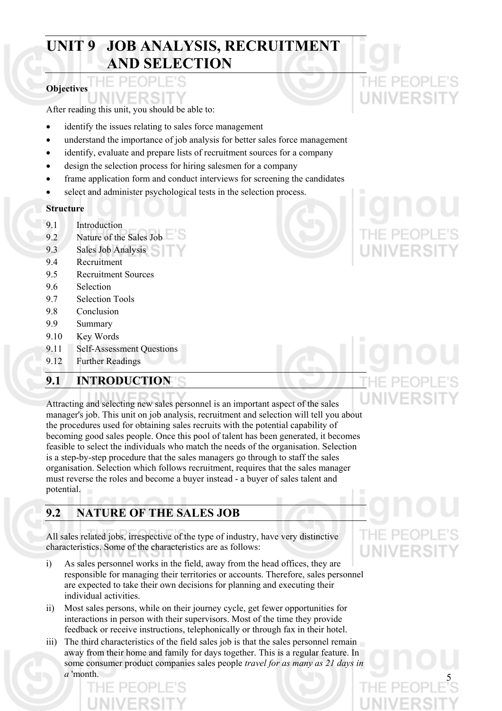# **UNIT 9 JOB ANALYSIS, RECRUITMENT AND SELECTION**

# **Objectives**

After reading this unit, you should be able to:

- identify the issues relating to sales force management
- understand the importance of job analysis for better sales force management
- identify, evaluate and prepare lists of recruitment sources for a company
- design the selection process for hiring salesmen for a company
- frame application form and conduct interviews for screening the candidates
- select and administer psychological tests in the selection process.

# **Structure**

- 9.1 Introduction
- 9.2 Nature of the Sales Job
- 9.3 Sales Job Analysis
- 9.4 Recruitment
- 9.5 Recruitment Sources
- 9.6 Selection
- 9.7 Selection Tools
- 9.8 Conclusion
- 9.9 Summary
- 9.10 Key Words
- 9.11 Self-Assessment Questions
- 9.12 Further Readings

# **9.1 INTRODUCTION**

Attracting and selecting new sales personnel is an important aspect of the sales manager's job. This unit on job analysis, recruitment and selection will tell you about the procedures used for obtaining sales recruits with the potential capability of becoming good sales people. Once this pool of talent has been generated, it becomes feasible to select the individuals who match the needs of the organisation. Selection is a step-by-step procedure that the sales managers go through to staff the sales organisation. Selection which follows recruitment, requires that the sales manager must reverse the roles and become a buyer instead - a buyer of sales talent and potential.

# **9.2 NATURE OF THE SALES JOB**

All sales related jobs, irrespective of the type of industry, have very distinctive characteristics. Some of the characteristics are as follows:

- i) As sales personnel works in the field, away from the head offices, they are responsible for managing their territories or accounts. Therefore, sales personnel are expected to take their own decisions for planning and executing their individual activities.
- ii) Most sales persons, while on their journey cycle, get fewer opportunities for interactions in person with their supervisors. Most of the time they provide feedback or receive instructions, telephonically or through fax in their hotel.
- iii) The third characteristics of the field sales job is that the sales personnel remain away from their home and family for days together. This is a regular feature. In some consumer product companies sales people *travel for as many as 21 days in a* 'month. 5

IE PE

# **IIVERSI**



IF PFOPI UNIVERSIT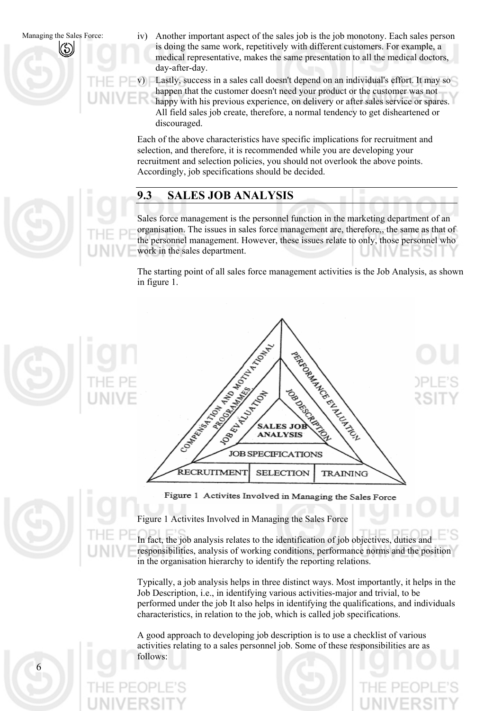Another important aspect of the sales job is the job monotony. Each sales person is doing the same work, repetitively with different customers. For example, a medical representative, makes the same presentation to all the medical doctors, day-after-day.

v) Lastly, success in a sales call doesn't depend on an individual's effort. It may so happen that the customer doesn't need your product or the customer was not happy with his previous experience, on delivery or after sales service or spares. All field sales job create, therefore, a normal tendency to get disheartened or

Each of the above characteristics have specific implications for recruitment and selection, and therefore, it is recommended while you are developing your recruitment and selection policies, you should not overlook the above points. Accordingly, job specifications should be decided.

# **9.3 SALES JOB ANALYSIS**

discouraged.

Sales force management is the personnel function in the marketing department of an organisation. The issues in sales force management are, therefore,, the same as that of the personnel management. However, these issues relate to only, those personnel who work in the sales department.

The starting point of all sales force management activities is the Job Analysis, as shown in figure 1.



Figure 1 Activites Involved in Managing the Sales Force

Figure 1 Activites Involved in Managing the Sales Force

In fact, the job analysis relates to the identification of job objectives, duties and responsibilities, analysis of working conditions, performance norms and the position in the organisation hierarchy to identify the reporting relations.

Typically, a job analysis helps in three distinct ways. Most importantly, it helps in the Job Description, i.e., in identifying various activities-major and trivial, to be performed under the job It also helps in identifying the qualifications, and individuals characteristics, in relation to the job, which is called job specifications.

A good approach to developing job description is to use a checklist of various activities relating to a sales personnel job. Some of these responsibilities are as follows: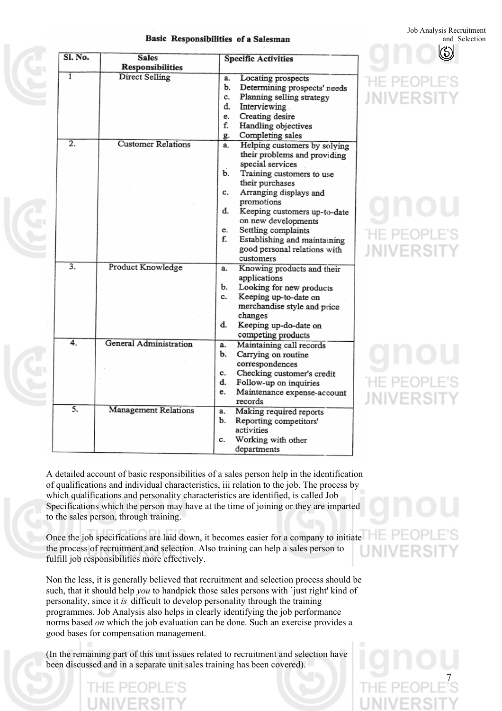Job Analysis Recruitment and Selection

|  | Basic Responsibilities of a Salesman |  |  |
|--|--------------------------------------|--|--|
|--|--------------------------------------|--|--|

| Sl. No.          | <b>Sales</b>                |    | <b>Specific Activities</b>   |  |
|------------------|-----------------------------|----|------------------------------|--|
|                  | Responsibilities            |    |                              |  |
| $\overline{1}$   | Direct Selling              | a. | Locating prospects           |  |
|                  |                             | b. | Determining prospects' needs |  |
|                  |                             | c. | Planning selling strategy    |  |
|                  |                             | d. | Interviewing.                |  |
|                  |                             | e. | Creating desire              |  |
|                  |                             | f. | Handling objectives          |  |
|                  |                             | g. | Completing sales             |  |
| $\overline{2}$ . | <b>Customer Relations</b>   | a. | Helping customers by solving |  |
|                  |                             |    | their problems and providing |  |
|                  |                             |    | special services             |  |
|                  |                             | b. | Training customers to use    |  |
|                  |                             |    | their purchases              |  |
|                  |                             | c. | Arranging displays and       |  |
|                  |                             |    | promotions                   |  |
|                  |                             | d. | Keeping customers up-to-date |  |
|                  |                             |    | on new developments          |  |
|                  |                             | e. | Settling complaints          |  |
|                  |                             | f. | Establishing and maintaining |  |
|                  |                             |    | good personal relations with |  |
|                  |                             |    | customers                    |  |
| $\overline{3}$ . | Product Knowledge           | a. | Knowing products and their   |  |
|                  |                             |    | applications                 |  |
|                  |                             | ъ. | Looking for new products     |  |
|                  |                             | c. | Keeping up-to-date on        |  |
|                  |                             |    | merchandise style and price  |  |
|                  |                             |    | changes                      |  |
|                  |                             | d. | Keeping up-do-date on        |  |
|                  |                             |    | competing products           |  |
| 4.               | General Administration      | a. | Maintaining call records     |  |
|                  |                             | b. | Carrying on routine          |  |
|                  |                             |    | correspondences              |  |
|                  |                             | c. | Checking customer's credit   |  |
|                  |                             | d. | Follow-up on inquiries       |  |
|                  |                             | e. | Maintenance expense-account  |  |
|                  |                             |    | records                      |  |
| $\overline{5}$   | <b>Management Relations</b> | a. | Making required reports      |  |
|                  |                             | b. | Reporting competitors'       |  |
|                  |                             |    | activities                   |  |
|                  |                             | c. | Working with other           |  |
|                  |                             |    | departments                  |  |

IIVERS

-IF PFOP NIVERSI

E PEOP **MIVERS** 

A detailed account of basic responsibilities of a sales person help in the identification of qualifications and individual characteristics, iii relation to the job. The process by which qualifications and personality characteristics are identified, is called Job Specifications which the person may have at the time of joining or they are imparted to the sales person, through training.

Once the job specifications are laid down, it becomes easier for a company to initiate the process of recruitment and selection. Also training can help a sales person to fulfill job responsibilities more effectively.

Non the less, it is generally believed that recruitment and selection process should be such, that it should help *you* to handpick those sales persons with `just right' kind of personality, since it *is*. difficult to develop personality through the training programmes. Job Analysis also helps in clearly identifying the job performance norms based *on* which the job evaluation can be done. Such an exercise provides a good bases for compensation management.

(In the remaining part of this unit issues related to recruitment and selection have been discussed and in a separate unit sales training has been covered).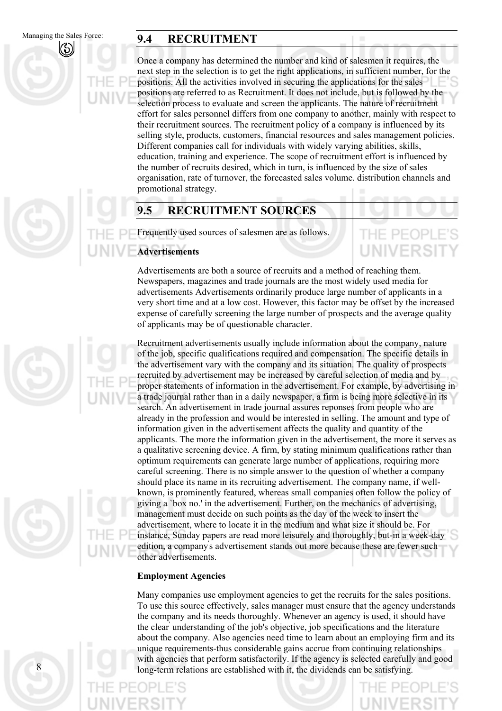8

# Managing the Sales Force: **9.4 RECRUITMENT**

Once a company has determined the number and kind of salesmen it requires, the next step in the selection is to get the right applications, in sufficient number, for the positions. All the activities involved in securing the applications for the sales positions are referred to as Recruitment. It does not include, but is followed by the selection process to evaluate and screen the applicants. The nature of recruitment effort for sales personnel differs from one company to another, mainly with respect to their recruitment sources. The recruitment policy of a company is influenced by its selling style, products, customers, financial resources and sales management policies. Different companies call for individuals with widely varying abilities, skills, education, training and experience. The scope of recruitment effort is influenced by the number of recruits desired, which in turn, is influenced by the size of sales organisation, rate of turnover, the forecasted sales volume. distribution channels and promotional strategy.

# **9.5 RECRUITMENT SOURCES**

Frequently used sources of salesmen are as follows.

# **Advertisements**

THE PEOPL **UNIVERSI** 

Advertisements are both a source of recruits and a method of reaching them. Newspapers, magazines and trade journals are the most widely used media for advertisements Advertisements ordinarily produce large number of applicants in a very short time and at a low cost. However, this factor may be offset by the increased expense of carefully screening the large number of prospects and the average quality of applicants may be of questionable character.

Recruitment advertisements usually include information about the company, nature of the job, specific qualifications required and compensation. The specific details in the advertisement vary with the company and its situation. The quality of prospects recruited by advertisement may be increased by careful selection of media and by proper statements of information in the advertisement. For example, by advertising in a trade journal rather than in a daily newspaper, a firm is being more selective in its search. An advertisement in trade journal assures reponses from people who are already in the profession and would be interested in selling. The amount and type of information given in the advertisement affects the quality and quantity of the applicants. The more the information given in the advertisement, the more it serves as a qualitative screening device. A firm, by stating minimum qualifications rather than optimum requirements can generate large number of applications, requiring more careful screening. There is no simple answer to the question of whether a company should place its name in its recruiting advertisement. The company name, if wellknown, is prominently featured, whereas small companies often follow the policy of giving a `box no.' in the advertisement. Further, on the mechanics of advertising, management must decide on such points as the day of the week to insert the advertisement, where to locate it in the medium and what size it should be. For instance, Sunday papers are read more leisurely and thoroughly, but-in a week-day edition, a company' s advertisement stands out more because these are fewer such other advertisements.

# **Employment Agencies**

Many companies use employment agencies to get the recruits for the sales positions. To use this source effectively, sales manager must ensure that the agency understands the company and its needs thoroughly. Whenever an agency is used, it should have the clear' understanding of the job's objective, job specifications and the literature about the company. Also agencies need time to learn about an employing firm and its unique requirements-thus considerable gains accrue from continuing relationships with agencies that perform satisfactorily. If the agency is selected carefully and good long-term relations are established with it, the dividends can be satisfying.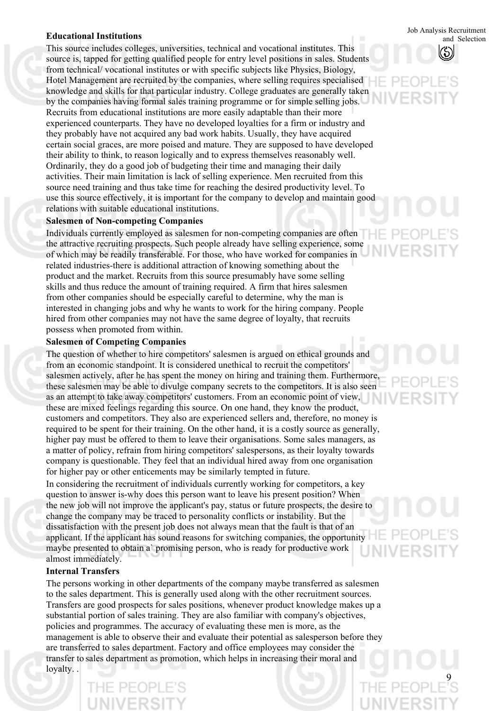This source includes colleges, universities, technical and vocational institutes. This source is, tapped for getting qualified people for entry level positions in sales. Students from technical/ vocational institutes or with specific subjects like Physics, Biology, Hotel Management are recruited by the companies, where selling requires specialised knowledge and skills for that particular industry. College graduates are generally taken by the companies having formal sales training programme or for simple selling jobs. Recruits from educational institutions are more easily adaptable than their more experienced counterparts. They have no developed loyalties for a firm or industry and they probably have not acquired any bad work habits. Usually, they have acquired certain social graces, are more poised and mature. They are supposed to have developed their ability to think, to reason logically and to express themselves reasonably well. Ordinarily, they do a good job of budgeting their time and managing their daily activities. Their main limitation is lack of selling experience. Men recruited from this source need training and thus take time for reaching the desired productivity level. To use this source effectively, it is important for the company to develop and maintain good relations with suitable educational institutions.

## **Salesmen of Non-competing Companies**

Individuals currently employed as salesmen for non-competing companies are often the attractive recruiting prospects. Such people already have selling experience, some of which may be readily transferable. For those, who have worked for companies in related industries-there is additional attraction of knowing something about the product and the market. Recruits from this source presumably have some selling skills and thus reduce the amount of training required. A firm that hires salesmen from other companies should be especially careful to determine, why the man is interested in changing jobs and why he wants to work for the hiring company. People hired from other companies may not have the same degree of loyalty, that recruits possess when promoted from within.

## **Salesmen of Competing Companies**

The question of whether to hire competitors' salesmen is argued on ethical grounds and from an economic standpoint. It is considered unethical to recruit the competitors' salesmen actively, after he has spent the money on hiring and training them. Furthermore, these salesmen may be able to divulge company secrets to the competitors. It is also seen as an attempt to take away competitors' customers. From an economic point of view, these are mixed feelings regarding this source. On one hand, they know the product, customers and competitors. They also are experienced sellers and, therefore, no money is required to be spent for their training. On the other hand, it is a costly source as generally, higher pay must be offered to them to leave their organisations. Some sales managers, as a matter of policy, refrain from hiring competitors' salespersons, as their loyalty towards company is questionable. They feel that an individual hired away from one organisation for higher pay or other enticements may be similarly tempted in future. In considering the recruitment of individuals currently working for competitors, a key question to answer is-why does this person want to leave his present position? When the new job will not improve the applicant's pay, status or future prospects, the desire to change the company may be traced to personality conflicts or instability. But the dissatisfaction with the present job does not always mean that the fault is that of an applicant. If the applicant has sound reasons for switching companies, the opportunity maybe presented to obtain a` promising person, who is ready for productive work

## almost immediately. **Internal Transfers**

The persons working in other departments of the company maybe transferred as salesmen to the sales department. This is generally used along with the other recruitment sources. Transfers are good prospects for sales positions, whenever product knowledge makes up a substantial portion of sales training. They are also familiar with company's objectives, policies and programmes. The accuracy of evaluating these men is more, as the management is able to observe their and evaluate their potential as salesperson before they are transferred to sales department. Factory and office employees may consider the transfer to sales department as promotion, which helps in increasing their moral and loyalty.

Job Analysis Recruitment **Educational Institutions**  and Selection

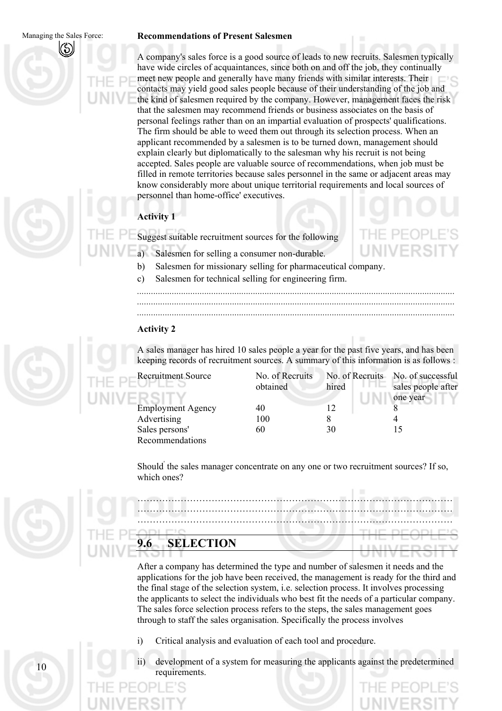$1<sub>0</sub>$ 

### **Recommendations of Present Salesmen**

A company's sales force is a good source of leads to new recruits. Salesmen typically have wide circles of acquaintances, since both on and off the job, they continually meet new people and generally have many friends with similar interests. Their contacts may yield good sales people because of their understanding of the job and the kind of salesmen required by the company. However, management faces the risk that the salesmen may recommend friends or business associates on the basis of personal feelings rather than on an impartial evaluation of prospects' qualifications. The firm should be able to weed them out through its selection process. When an applicant recommended by a salesmen is to be turned down, management should explain clearly but diplomatically to the salesman why his recruit is not being accepted. Sales people are valuable source of recommendations, when job must be filled in remote territories because sales personnel in the same or adjacent areas may know considerably more about unique territorial requirements and local sources of personnel than home-office' executives.

# **Activity 1**

Suggest suitable recruitment sources for the following

- a) Salesmen for selling a consumer non-durable.
- b) Salesmen for missionary selling for pharmaceutical company.
- c) Salesmen for technical selling for engineering firm.

*......................................................................................................................................... ......................................................................................................................................... .........................................................................................................................................* 

# **Activity 2**

A sales manager has hired 10 sales people a year for the past five years, and has been keeping records of recruitment sources. A summary of this information is as follows :

 $\mathbf{c}_n$   $\mathbf{r}_n$   $\mathbf{c}_n$ 

Recruitment Source No. of Recruitment Source Employment Agency Advertising Sales persons' Recommendations

| No. of Recruits |       | No. of Recruits No. of successful |
|-----------------|-------|-----------------------------------|
| obtained        | hired | sales people after                |
|                 |       | one year                          |
| 40              | 12    |                                   |
| 100             |       |                                   |
| 60              | 30    | 15                                |
|                 |       |                                   |

Should' the sales manager concentrate on any one or two recruitment sources? If so, which ones?

………………………………………………………………………………………… ………………………………………………………………………………………… ………………………………………………………………………………………… **9.6 SELECTION** 

After a company has determined the type and number of salesmen it needs and the applications for the job have been received, the management is ready for the third and the final stage of the selection system, i.e. selection process. It involves processing the applicants to select the individuals who best fit the needs of a particular company. The sales force selection process refers to the steps, the sales management goes through to staff the sales organisation. Specifically the process involves

- i) Critical analysis and evaluation of each tool and procedure.
- ii) development of a system for measuring the applicants against the predetermined requirements.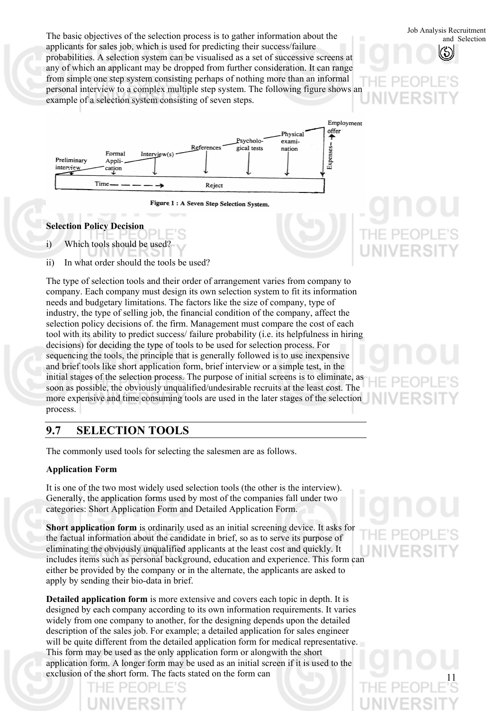Job Analysis Recruitment<br>and Selection process is to gather information about the<br>sale selection and Selection applicants for sales job, which is used for predicting their success/failure probabilities. A selection system can be visualised as a set of successive screens at any of which an applicant may be dropped from further consideration. It can range from simple one step system consisting perhaps of nothing more than an informal personal interview to a complex multiple step system. The following figure shows an example of a selection system consisting of seven steps.



Figure 1: A Seven Step Selection System.

# **Selection Policy Decision**

i) Which tools should be used?

ii) In what order should the tools be used?

The type of selection tools and their order of arrangement varies from company to company. Each company must design its own selection system to fit its information needs and budgetary limitations. The factors like the size of company, type of industry, the type of selling job, the financial condition of the company, affect the selection policy decisions of. the firm. Management must compare the cost of each tool with its ability to predict success/ failure probability (i.e. its helpfulness in hiring decisions) for deciding the type of tools to be used for selection process. For sequencing the tools, the principle that is generally followed is to use inexpensive and brief tools like short application form, brief interview or a simple test, in the initial stages of the selection process. The purpose of initial screens is to eliminate, as soon as possible, the obviously unqualified/undesirable recruits at the least cost. The more expensive and time consuming tools are used in the later stages of the selection process.

# **9.7 SELECTION TOOLS**

The commonly used tools for selecting the salesmen are as follows.

# **Application Form**

It is one of the two most widely used selection tools (the other is the interview). Generally, the application forms used by most of the companies fall under two categories: Short Application Form and Detailed Application Form.

**Short application form** is ordinarily used as an initial screening device. It asks for the factual information about the candidate in brief, so as to serve its purpose of eliminating the obviously unqualified applicants at the least cost and quickly. It includes items such as personal background, education and experience. This form can either be provided by the company or in the alternate, the applicants are asked to apply by sending their bio-data in brief.

**Detailed application form** is more extensive and covers each topic in depth. It is designed by each company according to its own information requirements. It varies widely from one company to another, for the designing depends upon the detailed description of the sales job. For example; a detailed application for sales engineer will be quite different from the detailed application form for medical representative. This form may be used as the only application form or alongwith the short application form. A longer form may be used as an initial screen if it is used to the exclusion of the short form. The facts stated on the form can

and Selection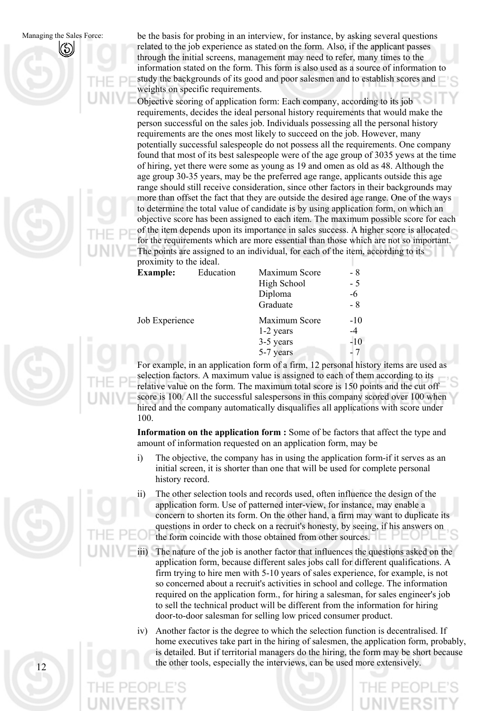$12$ 

be the basis for probing in an interview, for instance, by asking several questions related to the job experience as stated on the form. Also, if the applicant passes through the initial screens, management may need to refer, many times to the information stated on the form. This form is also used as a source of information to study the backgrounds of its good and poor salesmen and to establish scores and weights on specific requirements.

Objective scoring of application form: Each company, according to its job requirements, decides the ideal personal history requirements that would make the person successful on the sales job. Individuals possessing all the personal history requirements are the ones most likely to succeed on the job. However, many potentially successful salespeople do not possess all the requirements. One company found that most of its best salespeople were of the age group of 3035 yews at the time of hiring, yet there were some as young as 19 and omen as old as 48. Although the age group 30-35 years, may be the preferred age range, applicants outside this age range should still receive consideration, since other factors in their backgrounds may more than offset the fact that they are outside the desired age range. One of the ways to determine the total value of candidate is by using application form, on which an objective score has been assigned to each item. The maximum possible score for each of the item depends upon its importance in sales success. A higher score is allocated for the requirements which are more essential than those which are not so important. The points are assigned to an individual, for each of the item, according to its proximity to the ideal.

| <b>Example:</b> | Education | Maximum Score | - 8   |
|-----------------|-----------|---------------|-------|
|                 |           | High School   | $-5$  |
|                 |           | Diploma       | -6    |
|                 |           | Graduate      | $-8$  |
| Job Experience  |           | Maximum Score | $-10$ |
|                 |           | 1-2 years     | $-4$  |
|                 |           | 3-5 years     | $-10$ |
|                 |           | 5-7 years     | $-7$  |

For example, in an application form of a firm, 12 personal history items are used as selection factors. A maximum value is assigned to each of them according to its relative value on the form. The maximum total score is 150 points and the cut off score is 100. All the successful salespersons in this company scored over 100 when hired and the company automatically disqualifies all applications with score under 100.

**Information on the application form :** Some of be factors that affect the type and amount of information requested on an application form, may be

- i) The objective, the company has in using the application form-if it serves as an initial screen, it is shorter than one that will be used for complete personal history record.
- ii) The other selection tools and records used, often influence the design of the application form. Use of patterned inter-view, for instance, may enable a concern to shorten its form. On the other hand, a firm may want to duplicate its questions in order to check on a recruit's honesty, by seeing, if his answers on the form coincide with those obtained from other sources.
- iii) The nature of the job is another factor that influences the questions asked on the application form, because different sales jobs call for different qualifications. A firm trying to hire men with 5-10 years of sales experience, for example, is not so concerned about a recruit's activities in school and college. The information required on the application form., for hiring a salesman, for sales engineer's job to sell the technical product will be different from the information for hiring door-to-door salesman for selling low priced consumer product.
- iv) Another factor is the degree to which the selection function is decentralised. If home executives take part in the hiring of salesmen, the application form, probably, is detailed. But if territorial managers do the hiring, the form may be short because the other tools, especially the interviews, can be used more extensively.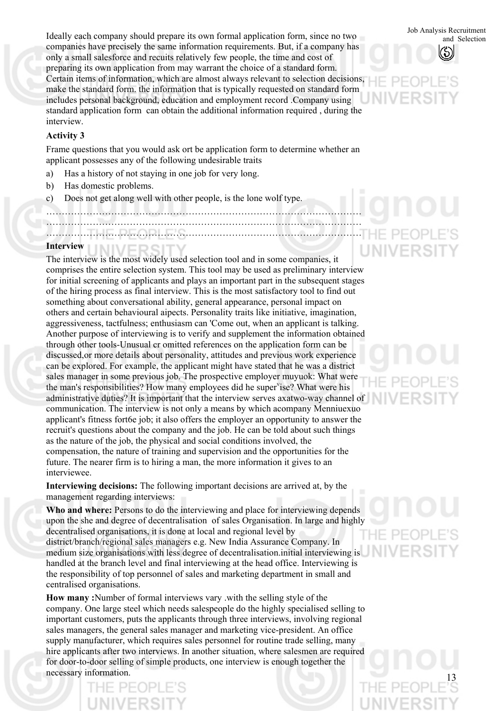Job Analysis Recruitment Ideally each company should prepare its own formal application form, since no two companies have precisely the same information requirements. But, if a company has only a small salesforce and recuits relatively few people, the time and cost of preparing its own application from may warrant the choice of a standard form. Certain items of information, which are almost always relevant to selection decisions, make the standard form. the information that is typically requested on standard form includes personal background, education and employment record .Company using standard application form can obtain the additional information required , during the interview.

## **Activity 3**

Frame questions that you would ask ort be application form to determine whether an applicant possesses any of the following undesirable traits

- a) Has a history of not staying in one job for very long.
- b) Has domestic problems.
- c) Does not get along well with other people, is the lone wolf type.
	- …………………………………………………………………………………………
- ………………………………………………………………………………………… …………………………………………………………………………………………

#### **Interview**

The interview is the most widely used selection tool and in some companies, it comprises the entire selection system. This tool may be used as preliminary interview for initial screening of applicants and plays an important part in the subsequent stages of the hiring process as final interview. This is the most satisfactory tool to find out something about conversational ability, general appearance, personal impact on others and certain behavioural aipects. Personality traits like initiative, imagination, aggressiveness, tactfulness; enthusiasm can 'Come out, when an applicant is talking. Another purpose of interviewing is to verify and supplement the information obtained through other tools-Unusual cr omitted references on the application form can be discussed,or more details about personality, attitudes and previous work experience can be explored. For example, the applicant might have stated that he was a district sales manager in some previous job. The prospective employer muyuok: What were the man's responsibilities? How many employees did he super<sup>v</sup>ise? What were his administrative duties? It is important that the interview serves axatwo-way channel of communication. The interview is not only a means by which acompany Menniuexuo applicant's fitness fort6e job; it also offers the employer an opportunity to answer the recruit's questions about the company and the job. He can be told about such things as the nature of the job, the physical and social conditions involved, the compensation, the nature of training and supervision and the opportunities for the future. The nearer firm is to hiring a man, the more information it gives to an interviewee.

**Interviewing decisions:** The following important decisions are arrived at, by the management regarding interviews:

**Who and where:** Persons to do the interviewing and place for interviewing depends upon the she and degree of decentralisation of sales Organisation. In large and highly decentralised organisations, it is done at local and regional level by district/branch/regional sales managers e.g. New India Assurance Company. In medium size organisations with less degree of decentralisation.initial interviewing is handled at the branch level and final interviewing at the head office. Interviewing is the responsibility of top personnel of sales and marketing department in small and centralised organisations.

**How many :**Number of formal interviews vary .with the selling style of the company. One large steel which needs salespeople do the highly specialised selling to important customers, puts the applicants through three interviews, involving regional sales managers, the general sales manager and marketing vice-president. An office supply manufacturer, which requires sales personnel for routine trade selling, many hire applicants after two interviews. In another situation, where salesmen are required for door-to-door selling of simple products, one interview is enough together the necessary information.

and Selection



13

'HE PE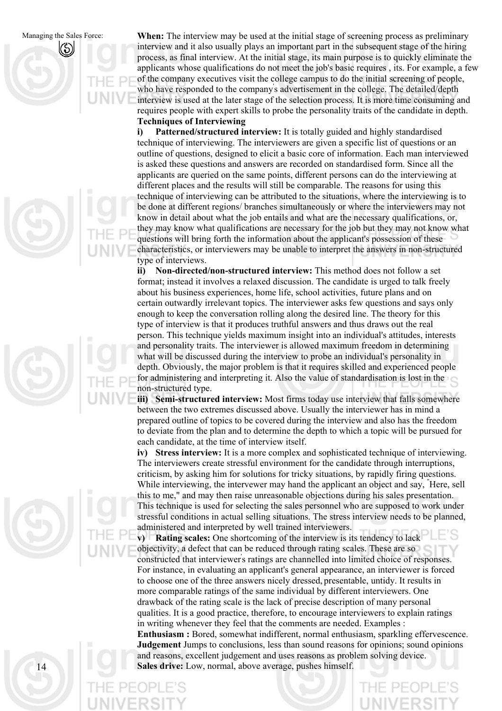





**When:** The interview may be used at the initial stage of screening process as preliminary interview and it also usually plays an important part in the subsequent stage of the hiring process, as final interview. At the initial stage, its main purpose is to quickly eliminate the applicants whose qualifications do not meet the job's basic requires , its. For example, a few of the company executives visit the college campus to do the initial screening of people, who have responded to the company' s advertisement in the college. The detailed/depth interview is used at the later stage of the selection process. It is more time consuming and requires people with expert skills to probe the personality traits of the candidate in depth. **Techniques of Interviewing** 

**i) Patterned/structured interview:** It is totally guided and highly standardised technique of interviewing. The interviewers are given a specific list of questions or an outline of questions, designed to elicit a basic core of information. Each man interviewed is asked these questions and answers are recorded on standardised form. Since all the applicants are queried on the same points, different persons can do the interviewing at different places and the results will still be comparable. The reasons for using this technique of interviewing can be attributed to the situations, where the interviewing is to be done at different regions/ branches simultaneously or where the interviewers may not know in detail about what the job entails and what are the necessary qualifications, or, they may know what qualifications are necessary for the job but they may not know what questions will bring forth the information about the applicant's possession of these characteristics, or interviewers may be unable to interpret the answers in non-structured type of interviews.

**ii) Non-directed/non-structured interview:** This method does not follow a set format; instead it involves a relaxed discussion. The candidate is urged to talk freely about his business experiences, home life, school activities, future plans and on certain outwardly irrelevant topics. The interviewer asks few questions and says only enough to keep the conversation rolling along the desired line. The theory for this type of interview is that it produces truthful answers and thus draws out the real person. This technique yields maximum insight into an individual's attitudes, interests and personality traits. The interviewer is allowed maximum freedom in determining what will be discussed during the interview to probe an individual's personality in depth. Obviously, the major problem is that it requires skilled and experienced people for administering and interpreting it. Also the value of standardisation is lost in the non-structured type.

**iii) Semi-structured interview:** Most firms today use interview that falls somewhere between the two extremes discussed above. Usually the interviewer has in mind a prepared outline of topics to be covered during the interview and also has the freedom to deviate from the plan and to determine the depth to which a topic will be pursued for each candidate, at the time of interview itself.

**iv) Stress interview:** It is a more complex and sophisticated technique of interviewing. The interviewers create stressful environment for the candidate through interruptions, criticism, by asking him for solutions for tricky situations, by rapidly firing questions. While interviewing, the intervewer may hand the applicant an object and say, " Here, sell this to me," and may then raise unreasonable objections during his sales presentation. This technique is used for selecting the sales personnel who are supposed to work under stressful conditions in actual selling situations. The stress interview needs to be planned, administered and interpreted by well trained interviewers.

**v) Rating scales:** One shortcoming of the interview is its tendency to lack objectivity, a defect that can be reduced through rating scales. These are so constructed that interviewer' s ratings are channelled into limited choice of responses. For instance, in evaluating an applicant's general appearance, an interviewer is forced to choose one of the three answers nicely dressed, presentable, untidy. It results in more comparable ratings of the same individual by different interviewers. One drawback of the rating scale is the lack of precise description of many personal qualities. It is a good practice, therefore, to encourage interviewers' to explain ratings in writing whenever they feel that the comments are needed. Examples : **Enthusiasm :** Bored, somewhat indifferent, normal enthusiasm, sparkling effervescence. **Judgement** Jumps to conclusions, less than sound reasons for opinions; sound opinions

and reasons, excellent judgement and uses reasons as problem solving device. **Sales drive:** Low, normal, above average, pushes himself.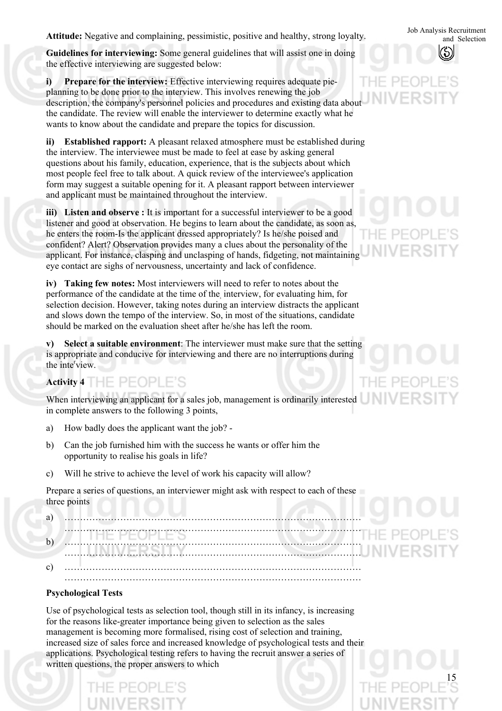Job Analysis Recruitment **Attitude:** Negative and complaining, pessimistic, positive and healthy, strong loyalty.

**Guidelines for interviewing:** Some general guidelines that will assist one in doing the effective interviewing are suggested below:

**i) Prepare for the interview:** Effective interviewing requires adequate pieplanning to be done prior to the interview. This involves renewing the job description, the company's personnel policies and procedures and existing data about the candidate. The review will enable the interviewer to determine exactly what he wants to know about the candidate and prepare the topics for discussion.

**ii) Established rapport:** A pleasant relaxed atmosphere must be established during the interview. The interviewee must be made to feel at ease by asking general questions about his family, education, experience, that is the subjects about which most people feel free to talk about. A quick review of the interviewee's application form may suggest a suitable opening for it. A pleasant rapport between interviewer and applicant must be maintained throughout the interview.

iii) Listen and observe : It is important for a successful interviewer to be a good listener and good at observation. He begins to learn about the candidate, as soon as, he enters the room-Is the applicant dressed appropriately? Is he/she poised and confident? Alert? Observation provides many a clues about the personality of the applicant. For instance, clasping and unclasping of hands, fidgeting, not maintaining eye contact are sighs of nervousness, uncertainty and lack of confidence.

**iv) Taking few notes:** Most interviewers will need to refer to notes about the performance of the candidate at the time of the, interview, for evaluating him, for selection decision. However, taking notes during an interview distracts the applicant and slows down the tempo of the interview. So, in most of the situations, candidate should be marked on the evaluation sheet after he/she has left the room.

**v) Select a suitable environment**: The interviewer must make sure that the setting is appropriate and conducive for interviewing and there are no interruptions during the inte<sup>r</sup>view.

# **Activity 4**

When interviewing an applicant for a sales job, management is ordinarily interested in complete answers to the following 3 points,

- a) How badly does the applicant want the job? -
- b) Can the job furnished him with the success he wants or offer him the opportunity to realise his goals in life?
- c) Will he strive to achieve the level of work his capacity will allow?

Prepare a series of questions, an interviewer might ask with respect to each of these three points

| a            |   |
|--------------|---|
| $\mathbf{b}$ | . |
|              |   |
| $\sim$<br>◡  | . |

# **Psychological Tests**

Use of psychological tests as selection tool, though still in its infancy, is increasing for the reasons like-greater importance being given to selection as the sales management is becoming more formalised, rising cost of selection and training, increased size of sales force and increased knowledge of psychological tests and their applications. Psychological testing refers to having the recruit answer a series of written questions, the proper answers to which

and Selection



HE PE **JNIVER** 

F PFO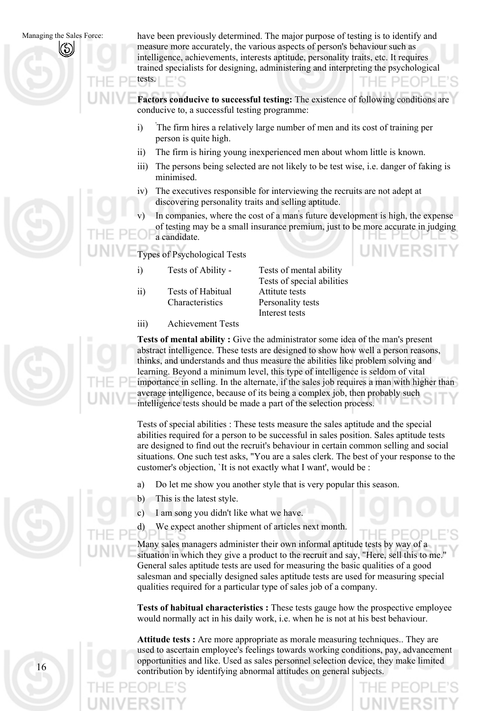have been previously determined. The major purpose of testing is to identify and measure more accurately, the various aspects of person's behaviour such as intelligence, achievements, interests aptitude, personality traits, etc. It requires trained specialists for designing, administering and interpreting the psychological tests.

**Factors conducive to successful testing:** The existence of following conditions are conducive to, a successful testing programme:

- i) ' The firm hires a relatively large number of men and its cost of training per person is quite high.
- ii) The firm is hiring young inexperienced men about whom little is known.
- iii) The persons being selected are not likely to be test wise, i.e. danger of faking is minimised.
- iv) The executives responsible for interviewing the recruits are not adept at discovering personality traits and selling aptitude.
- v) In companies, where the cost of a man' s future development is high, the expense of testing may be a small insurance premium, just to be more accurate in judging a candidate.

Types of Psychological Tests

- i) Tests of Ability Tests of mental ability
- ii) Tests of Habitual Attitute tests Characteristics Personality tests

Tests of special abilities Interest tests

iii) Achievement Tests

**Tests of mental ability :** Give the administrator some idea of the man's present abstract intelligence. These tests are designed to show how well a person reasons, thinks, and understands and thus measure the abilities like problem solving and learning. Beyond a minimum level, this type of intelligence is seldom of vital importance in selling. In the alternate, if the sales job requires a man with higher than average intelligence, because of its being a complex job, then probably such intelligence tests should be made a part of the selection process.

Tests of special abilities : These tests measure the sales aptitude and the special abilities required for a person to be successful in sales position. Sales aptitude tests are designed to find out the recruit's behaviour in certain common selling and social situations. One such test asks, "You are a sales clerk. The best of your response to the customer's objection, `It is not exactly what I want', would be :

- a) Do let me show you another style that is very popular this season.
- b) This is the latest style.
- c) I am song you didn't like what we have.
- d) We expect another shipment of articles next month.

Many sales managers administer their own informal aptitude tests by way of a situation in which they give a product to the recruit and say, "Here, sell this to me." General sales aptitude tests are used for measuring the basic qualities of a good salesman and specially designed sales aptitude tests are used for measuring special qualities required for a particular type of sales job of a company.

**Tests of habitual characteristics :** These tests gauge how the prospective employee would normally act in his daily work, i.e. when he is not at his best behaviour.

**Attitude tests :** Are more appropriate as morale measuring techniques.. They are used to ascertain employee's feelings towards working conditions, pay, advancement opportunities and like. Used as sales personnel selection device, they make limited contribution by identifying abnormal attitudes on general subjects.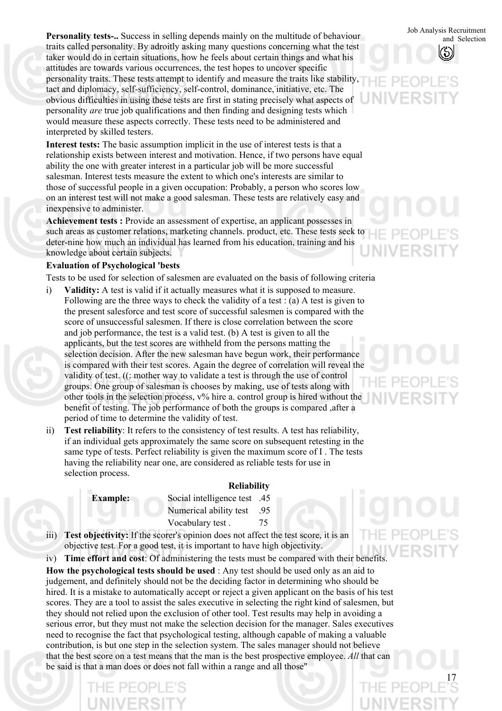Job Analysis Recruitment **Personality tests-..** Success in selling depends mainly on the multitude of behaviour traits called personality. By adroitly asking many questions concerning what the test taker would do in certain situations, how he feels about certain things and what his attitudes are towards various occurrences, the test hopes to uncover specific personality traits. These tests attempt to identify and measure the traits like stability, tact and diplomacy, self-sufficiency, self-control, dominance, initiative, etc. The obvious difficulties in using these tests are first in stating precisely what aspects of personality *are* true job qualifications and then finding and designing tests which would measure these aspects correctly. These tests need to be administered and interpreted by skilled testers.

**Interest tests:** The basic assumption implicit in the use of interest tests is that a relationship exists between interest and motivation. Hence, if two persons have equal ability the one with greater interest in a particular job will be more successful salesman. Interest tests measure the extent to which one's interests are similar to those of successful people in a given occupation: Probably, a person who scores low on an interest test will not make a good salesman. These tests are relatively easy and inexpensive to administer.

**Achievement tests :** Provide an assessment of expertise, an applicant possesses in such areas as customer relations, marketing channels. product, etc. These tests seek to deter-nine how much an individual has learned from his education, training and his knowledge about certain subjects.

## **Evaluation of Psychological 'bests**

Tests to be used for selection of salesmen are evaluated on the basis of following criteria

- **Validity:** A test is valid if it actually measures what it is supposed to measure. Following are the three ways to check the validity of a test : (a) A test is given to the present salesforce and test score of successful salesmen is compared with the score of unsuccessful salesmen. If there is close correlation between the score and job performance, the test is a valid test. (b) A test is given to all the applicants, but the test scores are withheld from the persons matting the selection decision. After the new salesman have begun work, their performance is compared with their test scores. Again the degree of correlation will reveal the validity of test. ((: mother way to validate a test is through the use of control groups. One group of salesman is chooses by making, use of tests along with other tools in the selection process, v% hire a. control group is hired without the benefit of testing. The job performance of both the groups is compared ,after a period of time to determine the validity of test. i)
- ii) **Test reliability**: It refers to the consistency of test results. A test has reliability, if an individual gets approximately the same score on subsequent retesting in the same type of tests. Perfect reliability is given the maximum score of I . The tests having the reliability near one, are considered as reliable tests for use in selection process.

#### **Reliability**

**Example:** Social intelligence test .45 Numerical ability test .95 Vocabulary test . 75

iii) **Test objectivity:** If the scorer's opinion does not affect the test score, it is an objective test. For a good test, it is important to have high objectivity.

iv) **Time effort and cost**: Of administering the tests must be compared with their benefits. **How the psychological tests should be used** : Any test should be used only as an aid to judgement, and definitely should not be the deciding factor in determining who should be hired. It is a mistake to automatically accept or reject a given applicant on the basis of his test scores. They are a tool to assist the sales executive in selecting the right kind of salesmen, but they should not relied upon the exclusion of other tool. Test results may help in avoiding a serious error, but they must not make the selection decision for the manager. Sales executives need to recognise the fact that psychological testing, although capable of making a valuable contribution, is but one step in the selection system. The sales manager should not believe that the best score on a test means that the man is the best prospective employee. *All* that can be said is that a man does or does not fall within a range and all those"

and Selection

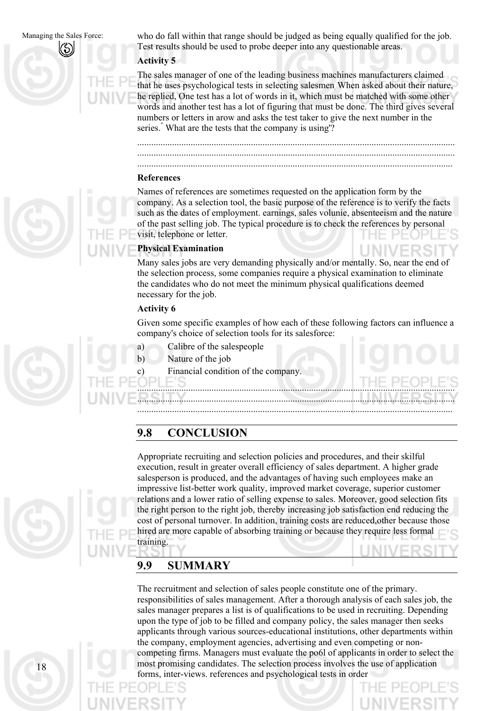Managing the Sales Force: who do fall within that range should be judged as being equally qualified for the job. Test results should be used to probe deeper into any questionable areas.

### **Activity 5**

The sales manager of one of the leading business machines manufacturers claimed that he uses psychological tests in selecting salesmen. When asked about their nature, he replied, One test has a lot of words in it, which must be matched with some other words and another test has a lot of figuring that must be done. The third gives several numbers or letters in arow and asks the test taker to give the next number in the series." What are the tests that the company is using'?

......................................................................................................................................... .........................................................................................................................................

........................................................................................................................................ **References** 

Names of references are sometimes requested on the application form by the company. As a selection tool, the basic purpose of the reference is to verify the facts such as the dates of employment. earnings, sales volunie, absenteeism and the nature of the past selling job. The typical procedure is to check the references by personal visit, telephone or letter.

## **Physical Examination**

Many sales jobs are very demanding physically and/or mentally. So, near the end of the selection process, some companies require a physical examination to eliminate the candidates who do not meet the minimum physical qualifications deemed necessary for the job.

# **Activity 6**

Given some specific examples of how each of these following factors can influence a company's choice of selection tools for its salesforce:

.........................................................................................................................................

........................................................................................................................................

.........................................................................................................................................

- a) Calibre of the salespeople
- b) Nature of the job
- c) Financial condition of the company.



Appropriate recruiting and selection policies and procedures, and their skilful execution, result in greater overall efficiency of sales department. A higher grade salesperson is produced, and the advantages of having such employees make an impressive list-better work quality, improved market coverage, superior customer relations and a lower ratio of selling expense to sales. Moreover, good selection fits the right person to the right job, thereby increasing job satisfaction end reducing the cost of personal turnover. In addition, training costs are reduced,other because those hired are more capable of absorbing training or because they require less formal training.

# **9.9 SUMMARY**

The recruitment and selection of sales people constitute one of the primary. responsibilities of sales management. After a thorough analysis of each sales job, the sales manager prepares a list is of qualifications to be used in recruiting. Depending upon the type of job to be filled and company policy, the sales manager then seeks applicants through various sources-educational institutions, other departments within the company, employment agencies, advertising and even competing or noncompeting firms. Managers must evaluate the po6l of applicants in order to select the most promising candidates. The selection process involves the use of application forms, inter-views. references and psychological tests in order